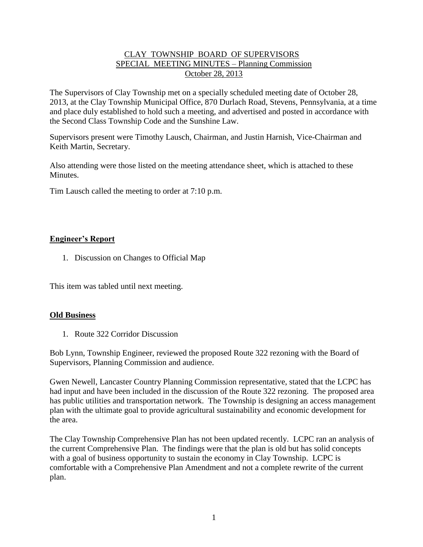# CLAY TOWNSHIP BOARD OF SUPERVISORS SPECIAL MEETING MINUTES – Planning Commission October 28, 2013

The Supervisors of Clay Township met on a specially scheduled meeting date of October 28, 2013, at the Clay Township Municipal Office, 870 Durlach Road, Stevens, Pennsylvania, at a time and place duly established to hold such a meeting, and advertised and posted in accordance with the Second Class Township Code and the Sunshine Law.

Supervisors present were Timothy Lausch, Chairman, and Justin Harnish, Vice-Chairman and Keith Martin, Secretary.

Also attending were those listed on the meeting attendance sheet, which is attached to these Minutes.

Tim Lausch called the meeting to order at 7:10 p.m.

# **Engineer's Report**

1. Discussion on Changes to Official Map

This item was tabled until next meeting.

## **Old Business**

1. Route 322 Corridor Discussion

Bob Lynn, Township Engineer, reviewed the proposed Route 322 rezoning with the Board of Supervisors, Planning Commission and audience.

Gwen Newell, Lancaster Country Planning Commission representative, stated that the LCPC has had input and have been included in the discussion of the Route 322 rezoning. The proposed area has public utilities and transportation network. The Township is designing an access management plan with the ultimate goal to provide agricultural sustainability and economic development for the area.

The Clay Township Comprehensive Plan has not been updated recently. LCPC ran an analysis of the current Comprehensive Plan. The findings were that the plan is old but has solid concepts with a goal of business opportunity to sustain the economy in Clay Township. LCPC is comfortable with a Comprehensive Plan Amendment and not a complete rewrite of the current plan.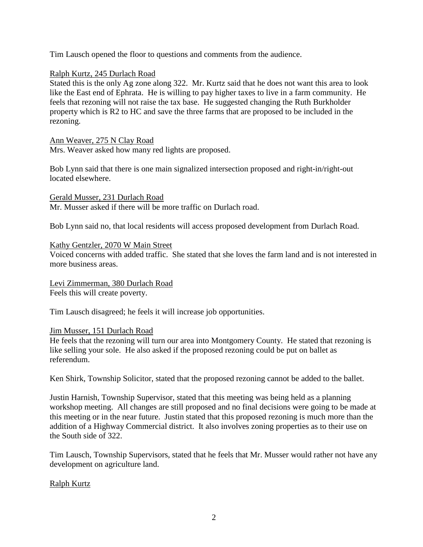Tim Lausch opened the floor to questions and comments from the audience.

# Ralph Kurtz, 245 Durlach Road

Stated this is the only Ag zone along 322. Mr. Kurtz said that he does not want this area to look like the East end of Ephrata. He is willing to pay higher taxes to live in a farm community. He feels that rezoning will not raise the tax base. He suggested changing the Ruth Burkholder property which is R2 to HC and save the three farms that are proposed to be included in the rezoning.

Ann Weaver, 275 N Clay Road

Mrs. Weaver asked how many red lights are proposed.

Bob Lynn said that there is one main signalized intersection proposed and right-in/right-out located elsewhere.

Gerald Musser, 231 Durlach Road Mr. Musser asked if there will be more traffic on Durlach road.

Bob Lynn said no, that local residents will access proposed development from Durlach Road.

## Kathy Gentzler, 2070 W Main Street

Voiced concerns with added traffic. She stated that she loves the farm land and is not interested in more business areas.

Levi Zimmerman, 380 Durlach Road Feels this will create poverty.

Tim Lausch disagreed; he feels it will increase job opportunities.

## Jim Musser, 151 Durlach Road

He feels that the rezoning will turn our area into Montgomery County. He stated that rezoning is like selling your sole. He also asked if the proposed rezoning could be put on ballet as referendum.

Ken Shirk, Township Solicitor, stated that the proposed rezoning cannot be added to the ballet.

Justin Harnish, Township Supervisor, stated that this meeting was being held as a planning workshop meeting. All changes are still proposed and no final decisions were going to be made at this meeting or in the near future. Justin stated that this proposed rezoning is much more than the addition of a Highway Commercial district. It also involves zoning properties as to their use on the South side of 322.

Tim Lausch, Township Supervisors, stated that he feels that Mr. Musser would rather not have any development on agriculture land.

# Ralph Kurtz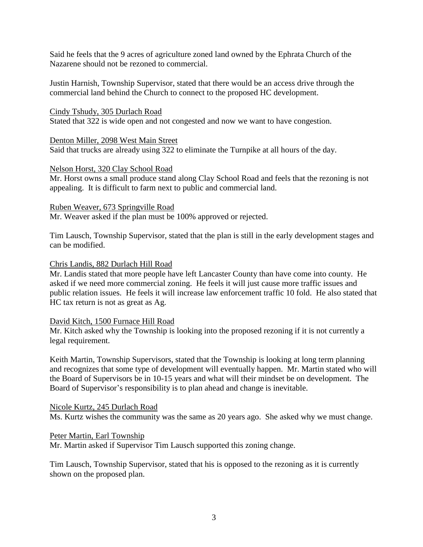Said he feels that the 9 acres of agriculture zoned land owned by the Ephrata Church of the Nazarene should not be rezoned to commercial.

Justin Harnish, Township Supervisor, stated that there would be an access drive through the commercial land behind the Church to connect to the proposed HC development.

Cindy Tshudy, 305 Durlach Road Stated that 322 is wide open and not congested and now we want to have congestion.

Denton Miller, 2098 West Main Street Said that trucks are already using 322 to eliminate the Turnpike at all hours of the day.

## Nelson Horst, 320 Clay School Road

Mr. Horst owns a small produce stand along Clay School Road and feels that the rezoning is not appealing. It is difficult to farm next to public and commercial land.

## Ruben Weaver, 673 Springville Road

Mr. Weaver asked if the plan must be 100% approved or rejected.

Tim Lausch, Township Supervisor, stated that the plan is still in the early development stages and can be modified.

## Chris Landis, 882 Durlach Hill Road

Mr. Landis stated that more people have left Lancaster County than have come into county. He asked if we need more commercial zoning. He feels it will just cause more traffic issues and public relation issues. He feels it will increase law enforcement traffic 10 fold. He also stated that HC tax return is not as great as Ag.

## David Kitch, 1500 Furnace Hill Road

Mr. Kitch asked why the Township is looking into the proposed rezoning if it is not currently a legal requirement.

Keith Martin, Township Supervisors, stated that the Township is looking at long term planning and recognizes that some type of development will eventually happen. Mr. Martin stated who will the Board of Supervisors be in 10-15 years and what will their mindset be on development. The Board of Supervisor's responsibility is to plan ahead and change is inevitable.

## Nicole Kurtz, 245 Durlach Road

Ms. Kurtz wishes the community was the same as 20 years ago. She asked why we must change.

## Peter Martin, Earl Township

Mr. Martin asked if Supervisor Tim Lausch supported this zoning change.

Tim Lausch, Township Supervisor, stated that his is opposed to the rezoning as it is currently shown on the proposed plan.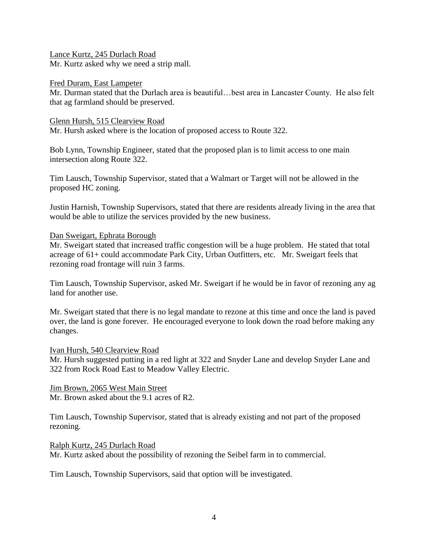Lance Kurtz, 245 Durlach Road Mr. Kurtz asked why we need a strip mall.

Fred Duram, East Lampeter

Mr. Durman stated that the Durlach area is beautiful…best area in Lancaster County. He also felt that ag farmland should be preserved.

Glenn Hursh, 515 Clearview Road

Mr. Hursh asked where is the location of proposed access to Route 322.

Bob Lynn, Township Engineer, stated that the proposed plan is to limit access to one main intersection along Route 322.

Tim Lausch, Township Supervisor, stated that a Walmart or Target will not be allowed in the proposed HC zoning.

Justin Harnish, Township Supervisors, stated that there are residents already living in the area that would be able to utilize the services provided by the new business.

Dan Sweigart, Ephrata Borough

Mr. Sweigart stated that increased traffic congestion will be a huge problem. He stated that total acreage of 61+ could accommodate Park City, Urban Outfitters, etc. Mr. Sweigart feels that rezoning road frontage will ruin 3 farms.

Tim Lausch, Township Supervisor, asked Mr. Sweigart if he would be in favor of rezoning any ag land for another use.

Mr. Sweigart stated that there is no legal mandate to rezone at this time and once the land is paved over, the land is gone forever. He encouraged everyone to look down the road before making any changes.

Ivan Hursh, 540 Clearview Road Mr. Hursh suggested putting in a red light at 322 and Snyder Lane and develop Snyder Lane and 322 from Rock Road East to Meadow Valley Electric.

Jim Brown, 2065 West Main Street Mr. Brown asked about the 9.1 acres of R2.

Tim Lausch, Township Supervisor, stated that is already existing and not part of the proposed rezoning.

Ralph Kurtz, 245 Durlach Road Mr. Kurtz asked about the possibility of rezoning the Seibel farm in to commercial.

Tim Lausch, Township Supervisors, said that option will be investigated.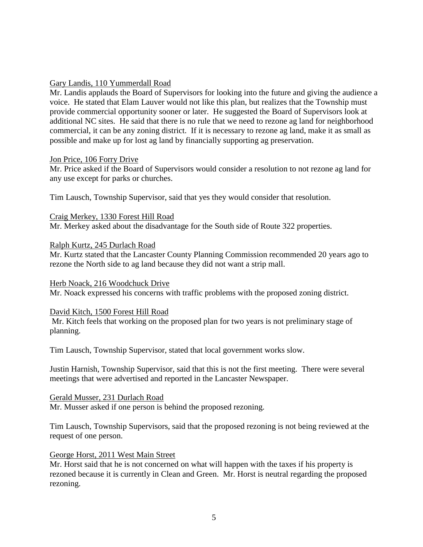## Gary Landis, 110 Yummerdall Road

Mr. Landis applauds the Board of Supervisors for looking into the future and giving the audience a voice. He stated that Elam Lauver would not like this plan, but realizes that the Township must provide commercial opportunity sooner or later. He suggested the Board of Supervisors look at additional NC sites. He said that there is no rule that we need to rezone ag land for neighborhood commercial, it can be any zoning district. If it is necessary to rezone ag land, make it as small as possible and make up for lost ag land by financially supporting ag preservation.

## Jon Price, 106 Forry Drive

Mr. Price asked if the Board of Supervisors would consider a resolution to not rezone ag land for any use except for parks or churches.

Tim Lausch, Township Supervisor, said that yes they would consider that resolution.

Craig Merkey, 1330 Forest Hill Road Mr. Merkey asked about the disadvantage for the South side of Route 322 properties.

## Ralph Kurtz, 245 Durlach Road

Mr. Kurtz stated that the Lancaster County Planning Commission recommended 20 years ago to rezone the North side to ag land because they did not want a strip mall.

## Herb Noack, 216 Woodchuck Drive

Mr. Noack expressed his concerns with traffic problems with the proposed zoning district.

## David Kitch, 1500 Forest Hill Road

Mr. Kitch feels that working on the proposed plan for two years is not preliminary stage of planning.

Tim Lausch, Township Supervisor, stated that local government works slow.

Justin Harnish, Township Supervisor, said that this is not the first meeting. There were several meetings that were advertised and reported in the Lancaster Newspaper.

Gerald Musser, 231 Durlach Road Mr. Musser asked if one person is behind the proposed rezoning.

Tim Lausch, Township Supervisors, said that the proposed rezoning is not being reviewed at the request of one person.

## George Horst, 2011 West Main Street

Mr. Horst said that he is not concerned on what will happen with the taxes if his property is rezoned because it is currently in Clean and Green. Mr. Horst is neutral regarding the proposed rezoning.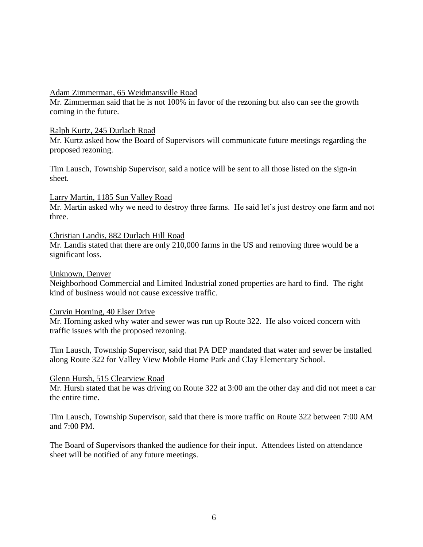#### Adam Zimmerman, 65 Weidmansville Road

Mr. Zimmerman said that he is not 100% in favor of the rezoning but also can see the growth coming in the future.

#### Ralph Kurtz, 245 Durlach Road

Mr. Kurtz asked how the Board of Supervisors will communicate future meetings regarding the proposed rezoning.

Tim Lausch, Township Supervisor, said a notice will be sent to all those listed on the sign-in sheet.

## Larry Martin, 1185 Sun Valley Road

Mr. Martin asked why we need to destroy three farms. He said let's just destroy one farm and not three.

#### Christian Landis, 882 Durlach Hill Road

Mr. Landis stated that there are only 210,000 farms in the US and removing three would be a significant loss.

#### Unknown, Denver

Neighborhood Commercial and Limited Industrial zoned properties are hard to find. The right kind of business would not cause excessive traffic.

## Curvin Horning, 40 Elser Drive

Mr. Horning asked why water and sewer was run up Route 322. He also voiced concern with traffic issues with the proposed rezoning.

Tim Lausch, Township Supervisor, said that PA DEP mandated that water and sewer be installed along Route 322 for Valley View Mobile Home Park and Clay Elementary School.

#### Glenn Hursh, 515 Clearview Road

Mr. Hursh stated that he was driving on Route 322 at 3:00 am the other day and did not meet a car the entire time.

Tim Lausch, Township Supervisor, said that there is more traffic on Route 322 between 7:00 AM and 7:00 PM.

The Board of Supervisors thanked the audience for their input. Attendees listed on attendance sheet will be notified of any future meetings.